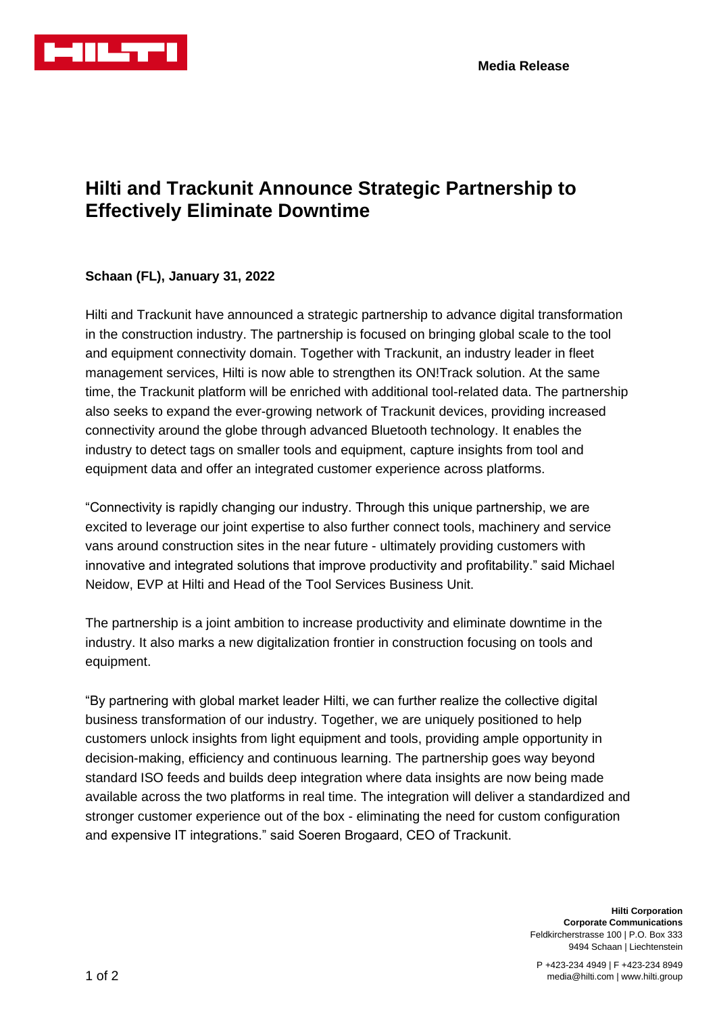

## **Hilti and Trackunit Announce Strategic Partnership to Effectively Eliminate Downtime**

## **Schaan (FL), January 31, 2022**

Hilti and Trackunit have announced a strategic partnership to advance digital transformation in the construction industry. The partnership is focused on bringing global scale to the tool and equipment connectivity domain. Together with Trackunit, an industry leader in fleet management services, Hilti is now able to strengthen its ON!Track solution. At the same time, the Trackunit platform will be enriched with additional tool-related data. The partnership also seeks to expand the ever-growing network of Trackunit devices, providing increased connectivity around the globe through advanced Bluetooth technology. It enables the industry to detect tags on smaller tools and equipment, capture insights from tool and equipment data and offer an integrated customer experience across platforms.

"Connectivity is rapidly changing our industry. Through this unique partnership, we are excited to leverage our joint expertise to also further connect tools, machinery and service vans around construction sites in the near future - ultimately providing customers with innovative and integrated solutions that improve productivity and profitability." said Michael Neidow, EVP at Hilti and Head of the Tool Services Business Unit.

The partnership is a joint ambition to increase productivity and eliminate downtime in the industry. It also marks a new digitalization frontier in construction focusing on tools and equipment.

"By partnering with global market leader Hilti, we can further realize the collective digital business transformation of our industry. Together, we are uniquely positioned to help customers unlock insights from light equipment and tools, providing ample opportunity in decision-making, efficiency and continuous learning. The partnership goes way beyond standard ISO feeds and builds deep integration where data insights are now being made available across the two platforms in real time. The integration will deliver a standardized and stronger customer experience out of the box - eliminating the need for custom configuration and expensive IT integrations." said Soeren Brogaard, CEO of Trackunit.

> **Hilti Corporation Corporate Communications** Feldkircherstrasse 100 | P.O. Box 333 9494 Schaan | Liechtenstein

P +423-234 4949 | F +423-234 8949 media@hilti.com | www.hilti.group